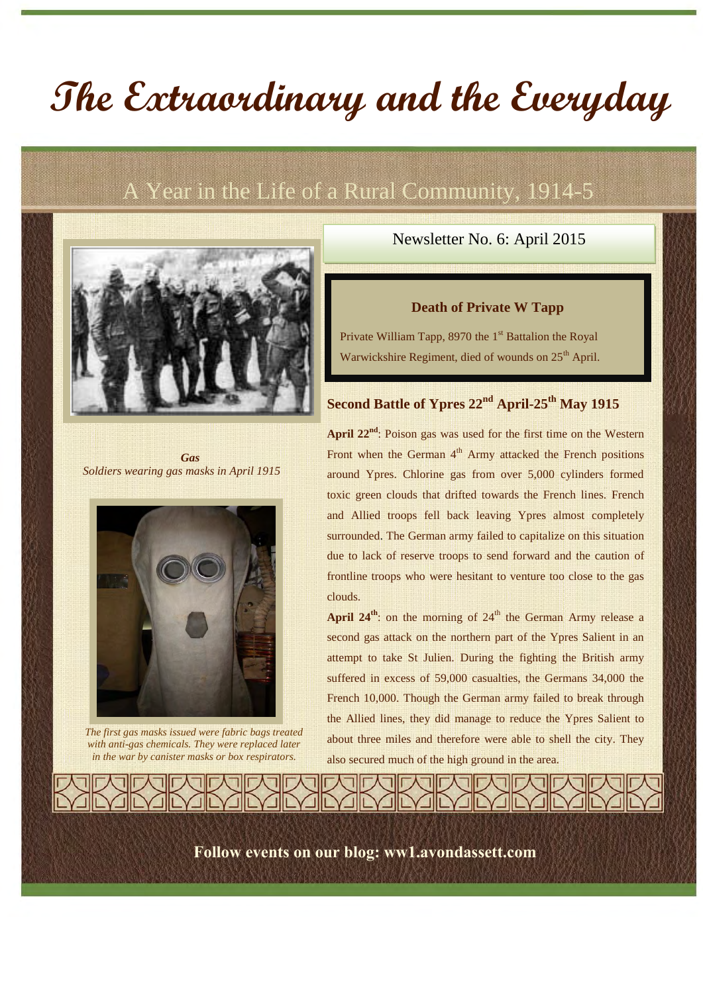# **The Extraordinary and the Everyday**

# A Year in the Life of a Rural Community, 1914-5



*Gas Soldiers wearing gas masks in April 1915*



*The first gas masks issued were fabric bags treated with anti-gas chemicals. They were replaced later in the war by canister masks or box respirators.*

### Newsletter No. 6: April 2015

#### **Death of Private W Tapp**

Private William Tapp, 8970 the 1<sup>st</sup> Battalion the Royal Warwickshire Regiment, died of wounds on 25<sup>th</sup> April.

# **Second Battle of Ypres 22nd April-25th May 1915**

**April 22nd**: Poison gas was used for the first time on the Western Front when the German  $4<sup>th</sup>$  Army attacked the French positions around Ypres. Chlorine gas from over 5,000 cylinders formed toxic green clouds that drifted towards the French lines. French and Allied troops fell back leaving Ypres almost completely surrounded. The German army failed to capitalize on this situation due to lack of reserve troops to send forward and the caution of frontline troops who were hesitant to venture too close to the gas clouds.

**April 24<sup>th</sup>:** on the morning of  $24<sup>th</sup>$  the German Army release a second gas attack on the northern part of the Ypres Salient in an attempt to take St Julien. During the fighting the British army suffered in excess of 59,000 casualties, the Germans 34,000 the French 10,000. Though the German army failed to break through the Allied lines, they did manage to reduce the Ypres Salient to about three miles and therefore were able to shell the city. They also secured much of the high ground in the area.

**Follow events on our blog: ww1.avondassett.com**